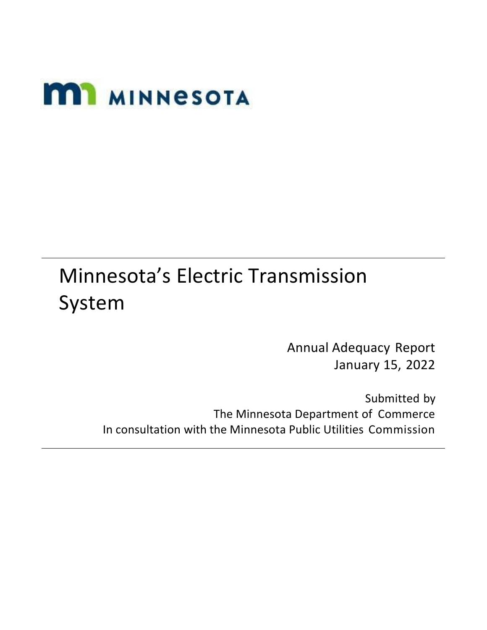# **MI MINNESOTA**

## Minnesota's Electric Transmission System

Annual Adequacy Report January 15, 2022

Submitted by The Minnesota Department of Commerce In consultation with the Minnesota Public Utilities Commission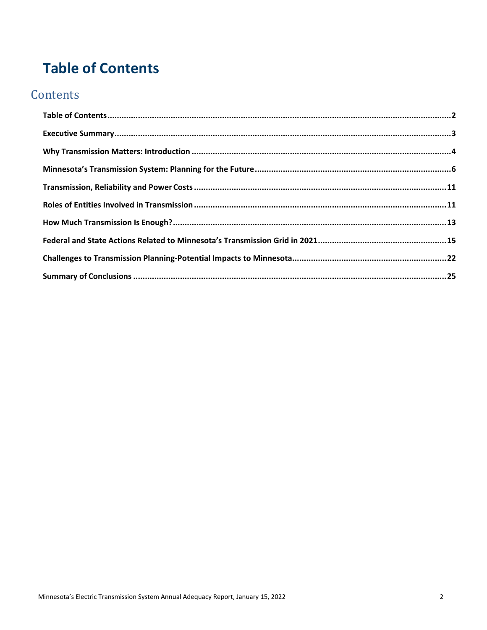## <span id="page-1-0"></span>**Table of Contents**

## **Contents**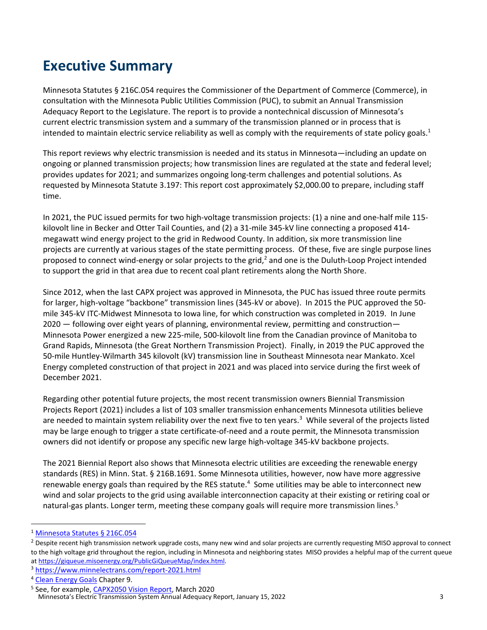## <span id="page-2-0"></span>**Executive Summary**

Minnesota Statutes § 216C.054 requires the Commissioner of the Department of Commerce (Commerce), in consultation with the Minnesota Public Utilities Commission (PUC), to submit an Annual Transmission Adequacy Report to the Legislature. The report is to provide a nontechnical discussion of Minnesota's current electric transmission system and a summary of the transmission planned or in process that is intended to maintain electric service reliability as well as comply with the requirements of state policy goals.<sup>1</sup>

This report reviews why electric transmission is needed and its status in Minnesota—including an update on ongoing or planned transmission projects; how transmission lines are regulated at the state and federal level; provides updates for 2021; and summarizes ongoing long-term challenges and potential solutions. As requested by Minnesota Statute 3.197: This report cost approximately \$2,000.00 to prepare, including staff time.

In 2021, the PUC issued permits for two high-voltage transmission projects: (1) a nine and one-half mile 115 kilovolt line in Becker and Otter Tail Counties, and (2) a 31-mile 345-kV line connecting a proposed 414 megawatt wind energy project to the grid in Redwood County. In addition, six more transmission line projects are currently at various stages of the state permitting process. Of these, five are single purpose lines proposed to connect wind-energy or solar projects to the grid,<sup>2</sup> and one is the Duluth-Loop Project intended to support the grid in that area due to recent coal plant retirements along the North Shore.

Since 2012, when the last CAPX project was approved in Minnesota, the PUC has issued three route permits for larger, high-voltage "backbone" transmission lines (345-kV or above). In 2015 the PUC approved the 50 mile 345-kV ITC-Midwest Minnesota to Iowa line, for which construction was completed in 2019. In June 2020 — following over eight years of planning, environmental review, permitting and construction— Minnesota Power energized a new 225-mile, 500-kilovolt line from the Canadian province of Manitoba to Grand Rapids, Minnesota (the Great Northern Transmission Project). Finally, in 2019 the PUC approved the 50-mile Huntley-Wilmarth 345 kilovolt (kV) transmission line in Southeast Minnesota near Mankato. Xcel Energy completed construction of that project in 2021 and was placed into service during the first week of December 2021.

Regarding other potential future projects, the most recent transmission owners Biennial Transmission Projects Report (2021) includes a list of 103 smaller transmission enhancements Minnesota utilities believe are needed to maintain system reliability over the next five to ten years.<sup>3</sup> While several of the projects listed may be large enough to trigger a state certificate-of-need and a route permit, the Minnesota transmission owners did not identify or propose any specific new large high-voltage 345-kV backbone projects.

The 2021 Biennial Report also shows that Minnesota electric utilities are exceeding the renewable energy standards (RES) in Minn. Stat. § 216B.1691. Some Minnesota utilities, however, now have more aggressive renewable energy goals than required by the RES statute.<sup>4</sup> Some utilities may be able to interconnect new wind and solar projects to the grid using available interconnection capacity at their existing or retiring coal or natural-gas plants. Longer term, meeting these company goals will require more transmission lines.<sup>5</sup>

<sup>1</sup> [Minnesota Statutes](https://www.revisor.mn.gov/statutes/cite/216C.054) § 216C.054

<sup>&</sup>lt;sup>2</sup> Despite recent high transmission network upgrade costs, many new wind and solar projects are currently requesting MISO approval to connect to the high voltage grid throughout the region, including in Minnesota and neighboring states MISO provides a helpful map of the current queue a[t https://giqueue.misoenergy.org/PublicGiQueueMap/index.html.](https://giqueue.misoenergy.org/PublicGiQueueMap/index.html)

<sup>3</sup> <https://www.minnelectrans.com/report-2021.html>

<sup>&</sup>lt;sup>4</sup> [Clean Energy Goals](https://www.minnelectrans.com/documents/2021_Biennial_Report/html/Ch_9_Clean_Energy_Goals.htm) Chapter 9.

Minnesota's Electric Transmission System Annual Adequacy Report, January 15, 2022 <sup>5</sup> See, for example[, CAPX2050 Vision Report,](http://capx2020.com/documents/CapX2050_TransmissionVisionReport_FINAL.pdf) March 2020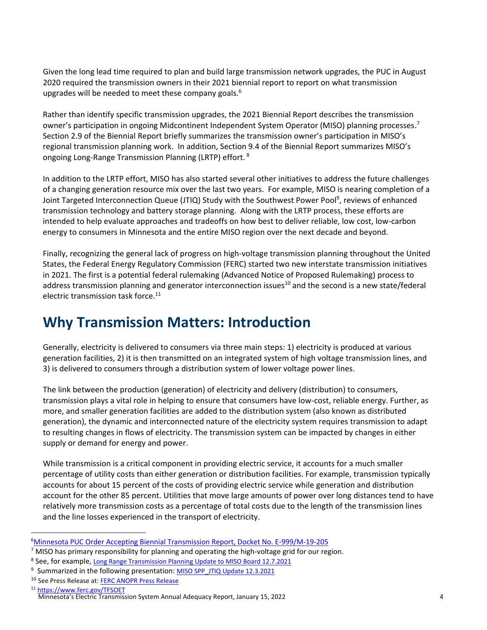Given the long lead time required to plan and build large transmission network upgrades, the PUC in August 2020 required the transmission owners in their 2021 biennial report to report on what transmission upgrades will be needed to meet these company goals.<sup>6</sup>

Rather than identify specific transmission upgrades, the 2021 Biennial Report describes the transmission owner's participation in ongoing Midcontinent Independent System Operator (MISO) planning processes.<sup>7</sup> Section 2.9 of the Biennial Report briefly summarizes the transmission owner's participation in MISO's regional transmission planning work. In addition, Section 9.4 of the Biennial Report summarizes MISO's ongoing Long-Range Transmission Planning (LRTP) effort.<sup>8</sup>

In addition to the LRTP effort, MISO has also started several other initiatives to address the future challenges of a changing generation resource mix over the last two years. For example, MISO is nearing completion of a Joint Targeted Interconnection Queue (JTIQ) Study with the Southwest Power Pool<sup>9</sup>, reviews of enhanced transmission technology and battery storage planning. Along with the LRTP process, these efforts are intended to help evaluate approaches and tradeoffs on how best to deliver reliable, low cost, low-carbon energy to consumers in Minnesota and the entire MISO region over the next decade and beyond.

Finally, recognizing the general lack of progress on high-voltage transmission planning throughout the United States, the Federal Energy Regulatory Commission (FERC) started two new interstate transmission initiatives in 2021. The first is a potential federal rulemaking (Advanced Notice of Proposed Rulemaking) process to address transmission planning and generator interconnection issues<sup>10</sup> and the second is a new state/federal electric transmission task force.<sup>11</sup>

## <span id="page-3-0"></span>**Why Transmission Matters: Introduction**

Generally, electricity is delivered to consumers via three main steps: 1) electricity is produced at various generation facilities, 2) it is then transmitted on an integrated system of high voltage transmission lines, and 3) is delivered to consumers through a distribution system of lower voltage power lines.

The link between the production (generation) of electricity and delivery (distribution) to consumers, transmission plays a vital role in helping to ensure that consumers have low-cost, reliable energy. Further, as more, and smaller generation facilities are added to the distribution system (also known as distributed generation), the dynamic and interconnected nature of the electricity system requires transmission to adapt to resulting changes in flows of electricity. The transmission system can be impacted by changes in either supply or demand for energy and power.

While transmission is a critical component in providing electric service, it accounts for a much smaller percentage of utility costs than either generation or distribution facilities. For example, transmission typically accounts for about 15 percent of the costs of providing electric service while generation and distribution account for the other 85 percent. Utilities that move large amounts of power over long distances tend to have relatively more transmission costs as a percentage of total costs due to the length of the transmission lines and the line losses experienced in the transport of electricity.

<sup>6</sup>[Minnesota PUC Order Accepting Biennial Transmission Report, Docket No. E-999/M-19-205](https://www.edockets.state.mn.us/EFiling/edockets/searchDocuments.do?method=showPoup&documentId=%7bB0DF0774-0000-C01A-A17E-479DDA7EBD07%7d&documentTitle=20208-166007-01)

<sup>&</sup>lt;sup>7</sup> MISO has primary responsibility for planning and operating the high-voltage grid for our region.

<sup>&</sup>lt;sup>8</sup> See, for example, [Long Range Transmission Planning Update to MISO Board 12.7.2021](https://cdn.misoenergy.org/20211207%20System%20Planning%20Committee%20of%20the%20BOD%20Item%2005%20Reliability%20Imperative%20LRTP608458.pdf)

<sup>&</sup>lt;sup>9</sup> Summarized in the following presentation: MISO SPP JTIQ Update 12.3.2021

<sup>&</sup>lt;sup>10</sup> See Press Release at[: FERC ANOPR Press Release](https://cms.ferc.gov/news-events/news/ferc-begins-reform-process-build-transmission-system-future)

Minnesota's Electric Transmission System Annual Adequacy Report, January 15, 2022 <sup>11</sup> <https://www.ferc.gov/TFSOET>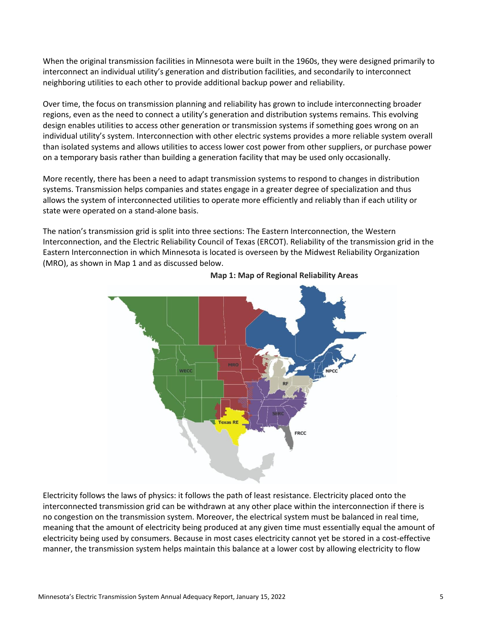When the original transmission facilities in Minnesota were built in the 1960s, they were designed primarily to interconnect an individual utility's generation and distribution facilities, and secondarily to interconnect neighboring utilities to each other to provide additional backup power and reliability.

Over time, the focus on transmission planning and reliability has grown to include interconnecting broader regions, even as the need to connect a utility's generation and distribution systems remains. This evolving design enables utilities to access other generation or transmission systems if something goes wrong on an individual utility's system. Interconnection with other electric systems provides a more reliable system overall than isolated systems and allows utilities to access lower cost power from other suppliers, or purchase power on a temporary basis rather than building a generation facility that may be used only occasionally.

More recently, there has been a need to adapt transmission systems to respond to changes in distribution systems. Transmission helps companies and states engage in a greater degree of specialization and thus allows the system of interconnected utilities to operate more efficiently and reliably than if each utility or state were operated on a stand-alone basis.

The nation's transmission grid is split into three sections: The Eastern Interconnection, the Western Interconnection, and the Electric Reliability Council of Texas (ERCOT). Reliability of the transmission grid in the Eastern Interconnection in which Minnesota is located is overseen by the Midwest Reliability Organization (MRO), as shown in Map 1 and as discussed below.



**Map 1: Map of Regional Reliability Areas**

Electricity follows the laws of physics: it follows the path of least resistance. Electricity placed onto the interconnected transmission grid can be withdrawn at any other place within the interconnection if there is no congestion on the transmission system. Moreover, the electrical system must be balanced in real time, meaning that the amount of electricity being produced at any given time must essentially equal the amount of electricity being used by consumers. Because in most cases electricity cannot yet be stored in a cost-effective manner, the transmission system helps maintain this balance at a lower cost by allowing electricity to flow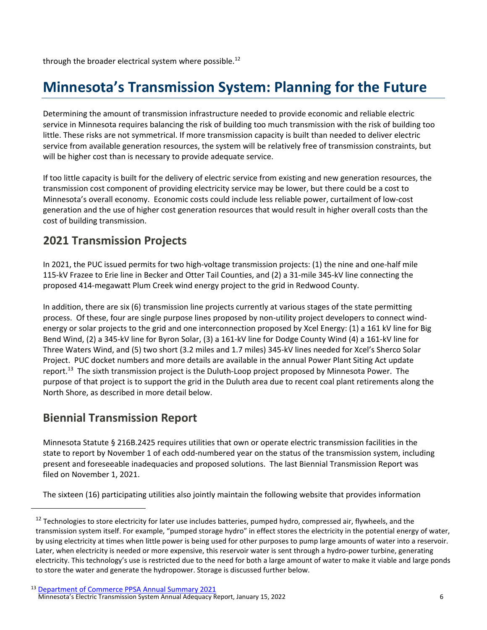through the broader electrical system where possible.<sup>12</sup>

## <span id="page-5-0"></span>**Minnesota's Transmission System: Planning for the Future**

Determining the amount of transmission infrastructure needed to provide economic and reliable electric service in Minnesota requires balancing the risk of building too much transmission with the risk of building too little. These risks are not symmetrical. If more transmission capacity is built than needed to deliver electric service from available generation resources, the system will be relatively free of transmission constraints, but will be higher cost than is necessary to provide adequate service.

If too little capacity is built for the delivery of electric service from existing and new generation resources, the transmission cost component of providing electricity service may be lower, but there could be a cost to Minnesota's overall economy. Economic costs could include less reliable power, curtailment of low-cost generation and the use of higher cost generation resources that would result in higher overall costs than the cost of building transmission.

#### **2021 Transmission Projects**

In 2021, the PUC issued permits for two high-voltage transmission projects: (1) the nine and one-half mile 115-kV Frazee to Erie line in Becker and Otter Tail Counties, and (2) a 31-mile 345-kV line connecting the proposed 414-megawatt Plum Creek wind energy project to the grid in Redwood County.

In addition, there are six (6) transmission line projects currently at various stages of the state permitting process. Of these, four are single purpose lines proposed by non-utility project developers to connect windenergy or solar projects to the grid and one interconnection proposed by Xcel Energy: (1) a 161 kV line for Big Bend Wind, (2) a 345-kV line for Byron Solar, (3) a 161-kV line for Dodge County Wind (4) a 161-kV line for Three Waters Wind, and (5) two short (3.2 miles and 1.7 miles) 345-kV lines needed for Xcel's Sherco Solar Project. PUC docket numbers and more details are available in the annual Power Plant Siting Act update report.<sup>13</sup> The sixth transmission project is the Duluth-Loop project proposed by Minnesota Power. The purpose of that project is to support the grid in the Duluth area due to recent coal plant retirements along the North Shore, as described in more detail below.

#### **Biennial Transmission Report**

Minnesota Statute § 216B.2425 requires utilities that own or operate electric transmission facilities in the state to report by November 1 of each odd-numbered year on the status of the transmission system, including present and foreseeable inadequacies and proposed solutions. The last Biennial Transmission Report was filed on November 1, 2021.

The sixteen (16) participating utilities also jointly maintain the following website that provides information

 $12$  Technologies to store electricity for later use includes batteries, pumped hydro, compressed air, flywheels, and the transmission system itself. For example, "pumped storage hydro" in effect stores the electricity in the potential energy of water, by using electricity at times when little power is being used for other purposes to pump large amounts of water into a reservoir. Later, when electricity is needed or more expensive, this reservoir water is sent through a hydro-power turbine, generating electricity. This technology's use is restricted due to the need for both a large amount of water to make it viable and large ponds to store the water and generate the hydropower. Storage is discussed further below.

Minnesota's Electric Transmission System Annual Adequacy Report, January 15, 2022 <sup>13</sup> [Department of Commerce PPSA Annual Summary 2021](https://www.edockets.state.mn.us/EFiling/edockets/searchDocuments.do?method=showPoup&documentId=%7b40B57C7D-0000-C716-AFCD-898DC5A76824%7d&documentTitle=202112-180356-01)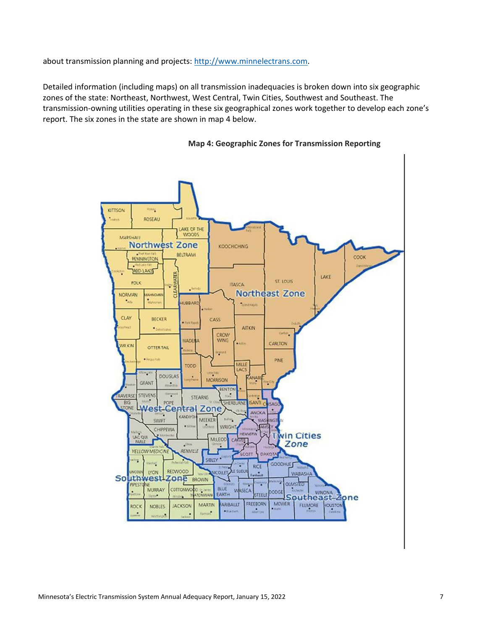about transmission planning and projects: [http://www.minnelectrans.com.](http://www.minnelectrans.com/)

Detailed information (including maps) on all transmission inadequacies is broken down into six geographic zones of the state: Northeast, Northwest, West Central, Twin Cities, Southwest and Southeast. The transmission-owning utilities operating in these six geographical zones work together to develop each zone's report. The six zones in the state are shown in map 4 below.



#### **Map 4: Geographic Zones for Transmission Reporting**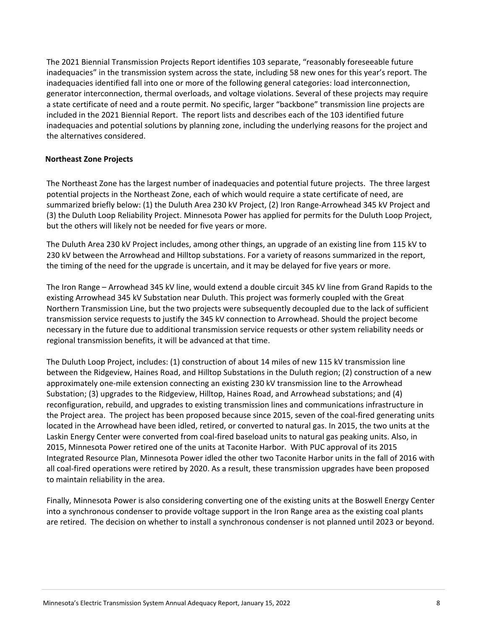The 2021 Biennial Transmission Projects Report identifies 103 separate, "reasonably foreseeable future inadequacies" in the transmission system across the state, including 58 new ones for this year's report. The inadequacies identified fall into one or more of the following general categories: load interconnection, generator interconnection, thermal overloads, and voltage violations. Several of these projects may require a state certificate of need and a route permit. No specific, larger "backbone" transmission line projects are included in the 2021 Biennial Report. The report lists and describes each of the 103 identified future inadequacies and potential solutions by planning zone, including the underlying reasons for the project and the alternatives considered.

#### **Northeast Zone Projects**

The Northeast Zone has the largest number of inadequacies and potential future projects. The three largest potential projects in the Northeast Zone, each of which would require a state certificate of need, are summarized briefly below: (1) the Duluth Area 230 kV Project, (2) Iron Range-Arrowhead 345 kV Project and (3) the Duluth Loop Reliability Project. Minnesota Power has applied for permits for the Duluth Loop Project, but the others will likely not be needed for five years or more.

The Duluth Area 230 kV Project includes, among other things, an upgrade of an existing line from 115 kV to 230 kV between the Arrowhead and Hilltop substations. For a variety of reasons summarized in the report, the timing of the need for the upgrade is uncertain, and it may be delayed for five years or more.

The Iron Range – Arrowhead 345 kV line, would extend a double circuit 345 kV line from Grand Rapids to the existing Arrowhead 345 kV Substation near Duluth. This project was formerly coupled with the Great Northern Transmission Line, but the two projects were subsequently decoupled due to the lack of sufficient transmission service requests to justify the 345 kV connection to Arrowhead. Should the project become necessary in the future due to additional transmission service requests or other system reliability needs or regional transmission benefits, it will be advanced at that time.

The Duluth Loop Project, includes: (1) construction of about 14 miles of new 115 kV transmission line between the Ridgeview, Haines Road, and Hilltop Substations in the Duluth region; (2) construction of a new approximately one-mile extension connecting an existing 230 kV transmission line to the Arrowhead Substation; (3) upgrades to the Ridgeview, Hilltop, Haines Road, and Arrowhead substations; and (4) reconfiguration, rebuild, and upgrades to existing transmission lines and communications infrastructure in the Project area. The project has been proposed because since 2015, seven of the coal-fired generating units located in the Arrowhead have been idled, retired, or converted to natural gas. In 2015, the two units at the Laskin Energy Center were converted from coal-fired baseload units to natural gas peaking units. Also, in 2015, Minnesota Power retired one of the units at Taconite Harbor. With PUC approval of its 2015 Integrated Resource Plan, Minnesota Power idled the other two Taconite Harbor units in the fall of 2016 with all coal-fired operations were retired by 2020. As a result, these transmission upgrades have been proposed to maintain reliability in the area.

Finally, Minnesota Power is also considering converting one of the existing units at the Boswell Energy Center into a synchronous condenser to provide voltage support in the Iron Range area as the existing coal plants are retired. The decision on whether to install a synchronous condenser is not planned until 2023 or beyond.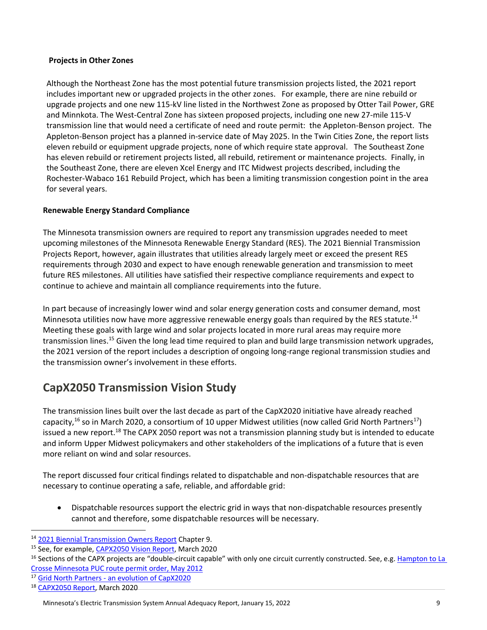#### **Projects in Other Zones**

Although the Northeast Zone has the most potential future transmission projects listed, the 2021 report includes important new or upgraded projects in the other zones. For example, there are nine rebuild or upgrade projects and one new 115-kV line listed in the Northwest Zone as proposed by Otter Tail Power, GRE and Minnkota. The West-Central Zone has sixteen proposed projects, including one new 27-mile 115-V transmission line that would need a certificate of need and route permit: the Appleton-Benson project. The Appleton-Benson project has a planned in-service date of May 2025. In the Twin Cities Zone, the report lists eleven rebuild or equipment upgrade projects, none of which require state approval. The Southeast Zone has eleven rebuild or retirement projects listed, all rebuild, retirement or maintenance projects. Finally, in the Southeast Zone, there are eleven Xcel Energy and ITC Midwest projects described, including the Rochester-Wabaco 161 Rebuild Project, which has been a limiting transmission congestion point in the area for several years.

#### **Renewable Energy Standard Compliance**

The Minnesota transmission owners are required to report any transmission upgrades needed to meet upcoming milestones of the Minnesota Renewable Energy Standard (RES). The 2021 Biennial Transmission Projects Report, however, again illustrates that utilities already largely meet or exceed the present RES requirements through 2030 and expect to have enough renewable generation and transmission to meet future RES milestones. All utilities have satisfied their respective compliance requirements and expect to continue to achieve and maintain all compliance requirements into the future.

In part because of increasingly lower wind and solar energy generation costs and consumer demand, most Minnesota utilities now have more aggressive renewable energy goals than required by the RES statute.<sup>14</sup> Meeting these goals with large wind and solar projects located in more rural areas may require more transmission lines.<sup>15</sup> Given the long lead time required to plan and build large transmission network upgrades, the 2021 version of the report includes a description of ongoing long-range regional transmission studies and the transmission owner's involvement in these efforts.

#### **CapX2050 Transmission Vision Study**

The transmission lines built over the last decade as part of the CapX2020 initiative have already reached capacity,<sup>16</sup> so in March 2020, a consortium of 10 upper Midwest utilities (now called Grid North Partners<sup>17</sup>) issued a new report.<sup>18</sup> The CAPX 2050 report was not a transmission planning study but is intended to educate and inform Upper Midwest policymakers and other stakeholders of the implications of a future that is even more reliant on wind and solar resources.

The report discussed four critical findings related to dispatchable and non-dispatchable resources that are necessary to continue operating a safe, reliable, and affordable grid:

• Dispatchable resources support the electric grid in ways that non-dispatchable resources presently cannot and therefore, some dispatchable resources will be necessary.

<sup>14</sup> [2021 Biennial Transmission Owners Report](https://www.minnelectrans.com/report-2021.html) Chapter 9.

<sup>&</sup>lt;sup>15</sup> See, for example[, CAPX2050 Vision Report,](http://capx2020.com/documents/CapX2050_TransmissionVisionReport_FINAL.pdf) March 2020

<sup>&</sup>lt;sup>16</sup> Sections of the CAPX projects are "double-circuit capable" with only one circuit currently constructed. See, e.g. Hampton to La [Crosse Minnesota PUC route permit order, May 2012](https://mn.gov/eera/web/project-file?legacyPath=/opt/documents/25731/PUC%20Order%20and%20FOF_053012.pdf)

<sup>17</sup> Grid North Partners - [an evolution of CapX2020](https://gridnorthpartners.com/)

<sup>&</sup>lt;sup>18</sup> [CAPX2050 Report,](http://capx2020.com/documents/CapX2050_TransmissionVisionReport_FINAL.pdf) March 2020

Minnesota's Electric Transmission System Annual Adequacy Report, January 15, 2022 9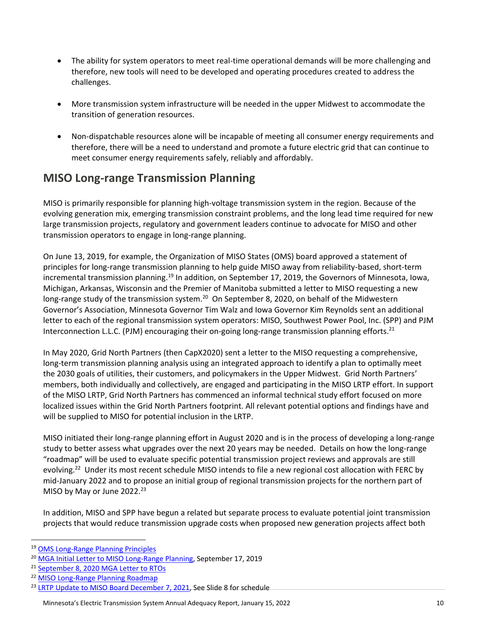- The ability for system operators to meet real-time operational demands will be more challenging and therefore, new tools will need to be developed and operating procedures created to address the challenges.
- More transmission system infrastructure will be needed in the upper Midwest to accommodate the transition of generation resources.
- Non-dispatchable resources alone will be incapable of meeting all consumer energy requirements and therefore, there will be a need to understand and promote a future electric grid that can continue to meet consumer energy requirements safely, reliably and affordably.

#### **MISO Long‐range Transmission Planning**

MISO is primarily responsible for planning high-voltage transmission system in the region. Because of the evolving generation mix, emerging transmission constraint problems, and the long lead time required for new large transmission projects, regulatory and government leaders continue to advocate for MISO and other transmission operators to engage in long-range planning.

On June 13, 2019, for example, the Organization of MISO States (OMS) board approved a statement of principles for long-range transmission planning to help guide MISO away from reliability-based, short-term incremental transmission planning.<sup>19</sup> In addition, on September 17, 2019, the Governors of Minnesota, Iowa, Michigan, Arkansas, Wisconsin and the Premier of Manitoba submitted a letter to MISO requesting a new long-range study of the transmission system.<sup>20</sup> On September 8, 2020, on behalf of the Midwestern Governor's Association, Minnesota Governor Tim Walz and Iowa Governor Kim Reynolds sent an additional letter to each of the regional transmission system operators: MISO, Southwest Power Pool, Inc. (SPP) and PJM Interconnection L.L.C. (PJM) encouraging their on-going long-range transmission planning efforts.<sup>21</sup>

In May 2020, Grid North Partners (then CapX2020) sent a letter to the MISO requesting a comprehensive, long-term transmission planning analysis using an integrated approach to identify a plan to optimally meet the 2030 goals of utilities, their customers, and policymakers in the Upper Midwest. Grid North Partners' members, both individually and collectively, are engaged and participating in the MISO LRTP effort. In support of the MISO LRTP, Grid North Partners has commenced an informal technical study effort focused on more localized issues within the Grid North Partners footprint. All relevant potential options and findings have and will be supplied to MISO for potential inclusion in the LRTP.

MISO initiated their long-range planning effort in August 2020 and is in the process of developing a long-range study to better assess what upgrades over the next 20 years may be needed. Details on how the long-range "roadmap" will be used to evaluate specific potential transmission project reviews and approvals are still evolving.<sup>22</sup> Under its most recent schedule MISO intends to file a new regional cost allocation with FERC by mid-January 2022 and to propose an initial group of regional transmission projects for the northern part of MISO by May or June 2022.<sup>23</sup>

In addition, MISO and SPP have begun a related but separate process to evaluate potential joint transmission projects that would reduce transmission upgrade costs when proposed new generation projects affect both

<sup>21</sup> [September 8, 2020 MGA Letter to RTOs](https://8jk.4e3.myftpupload.com/wp-content/uploads/ChairsAgenda/2019-Reynolds/MID-GRID/Phase2/MGA-Letter-to-RTOs.pdf)

<sup>19</sup> [OMS Long-Range Planning Principles](https://www.misostates.org/images/stories/Filings/Board_comments/2019/Letter_to_John_Bear_REgarding_Long_Range_Planning_Principles_for_website.pdf)

<sup>&</sup>lt;sup>20</sup> [MGA Initial Letter to MISO Long-Range Planning,](https://www.midwesterngovernors.org/wp-content/uploads/Documents/LetterToMISO-.pdf) September 17, 2019

<sup>22</sup> [MISO Long-Range Planning Roadmap](https://cdn.misoenergy.org/20201014%20PAC%20Item%2004a%20Long%20Range%20Transmission%20Planning%20(LRTP)482449.pdf)

<sup>&</sup>lt;sup>23</sup> [LRTP Update to MISO Board December 7, 2021,](https://cdn.misoenergy.org/20211207%20System%20Planning%20Committee%20of%20the%20BOD%20Item%2005%20Reliability%20Imperative%20LRTP608458.pdf) See Slide 8 for schedule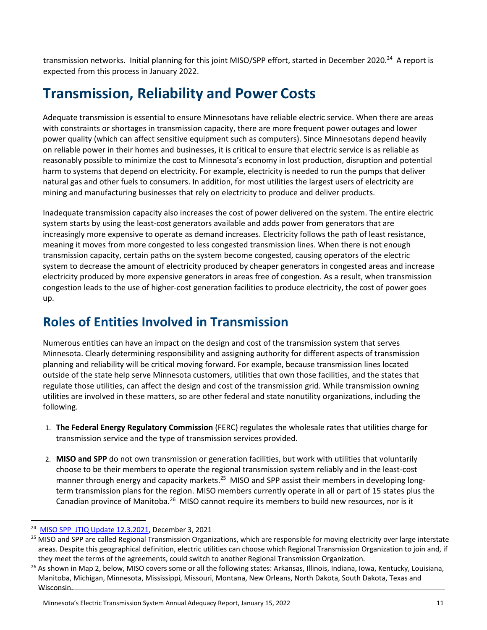transmission networks. Initial planning for this joint MISO/SPP effort, started in December 2020.<sup>24</sup> A report is expected from this process in January 2022.

## <span id="page-10-0"></span>**Transmission, Reliability and Power Costs**

Adequate transmission is essential to ensure Minnesotans have reliable electric service. When there are areas with constraints or shortages in transmission capacity, there are more frequent power outages and lower power quality (which can affect sensitive equipment such as computers). Since Minnesotans depend heavily on reliable power in their homes and businesses, it is critical to ensure that electric service is as reliable as reasonably possible to minimize the cost to Minnesota's economy in lost production, disruption and potential harm to systems that depend on electricity. For example, electricity is needed to run the pumps that deliver natural gas and other fuels to consumers. In addition, for most utilities the largest users of electricity are mining and manufacturing businesses that rely on electricity to produce and deliver products.

Inadequate transmission capacity also increases the cost of power delivered on the system. The entire electric system starts by using the least-cost generators available and adds power from generators that are increasingly more expensive to operate as demand increases. Electricity follows the path of least resistance, meaning it moves from more congested to less congested transmission lines. When there is not enough transmission capacity, certain paths on the system become congested, causing operators of the electric system to decrease the amount of electricity produced by cheaper generators in congested areas and increase electricity produced by more expensive generators in areas free of congestion. As a result, when transmission congestion leads to the use of higher-cost generation facilities to produce electricity, the cost of power goes up.

### <span id="page-10-1"></span>**Roles of Entities Involved in Transmission**

Numerous entities can have an impact on the design and cost of the transmission system that serves Minnesota. Clearly determining responsibility and assigning authority for different aspects of transmission planning and reliability will be critical moving forward. For example, because transmission lines located outside of the state help serve Minnesota customers, utilities that own those facilities, and the states that regulate those utilities, can affect the design and cost of the transmission grid. While transmission owning utilities are involved in these matters, so are other federal and state nonutility organizations, including the following.

- 1. **The Federal Energy Regulatory Commission** (FERC) regulates the wholesale rates that utilities charge for transmission service and the type of transmission services provided.
- 2. **MISO and SPP** do not own transmission or generation facilities, but work with utilities that voluntarily choose to be their members to operate the regional transmission system reliably and in the least-cost manner through energy and capacity markets.<sup>25</sup> MISO and SPP assist their members in developing longterm transmission plans for the region. MISO members currently operate in all or part of 15 states plus the Canadian province of Manitoba.<sup>26</sup> MISO cannot require its members to build new resources, nor is it

<sup>24</sup> [MISO SPP\\_JTIQ Update 12.3.2021,](https://cdn.misoenergy.org/20211203%20MISO%20SPP%20JTIQ%20Study%20Update608714.pdf) December 3, 2021

<sup>&</sup>lt;sup>25</sup> MISO and SPP are called Regional Transmission Organizations, which are responsible for moving electricity over large interstate areas. Despite this geographical definition, electric utilities can choose which Regional Transmission Organization to join and, if they meet the terms of the agreements, could switch to another Regional Transmission Organization.

<sup>&</sup>lt;sup>26</sup> As shown in Map 2, below, MISO covers some or all the following states: Arkansas, Illinois, Indiana, Iowa, Kentucky, Louisiana, Manitoba, Michigan, Minnesota, Mississippi, Missouri, Montana, New Orleans, North Dakota, South Dakota, Texas and Wisconsin.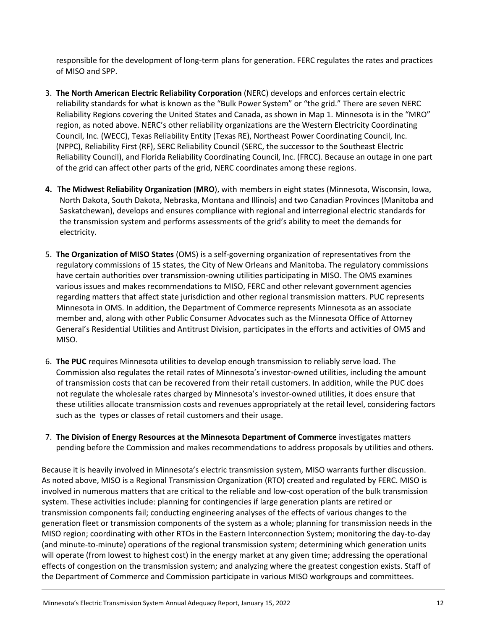responsible for the development of long-term plans for generation. FERC regulates the rates and practices of MISO and SPP.

- 3. **The North American Electric Reliability Corporation** (NERC) develops and enforces certain electric reliability standards for what is known as the "Bulk Power System" or "the grid." There are seven NERC Reliability Regions covering the United States and Canada, as shown in Map 1. Minnesota is in the "MRO" region, as noted above. NERC's other reliability organizations are the Western Electricity Coordinating Council, Inc. (WECC), Texas Reliability Entity (Texas RE), Northeast Power Coordinating Council, Inc. (NPPC), Reliability First (RF), SERC Reliability Council (SERC, the successor to the Southeast Electric Reliability Council), and Florida Reliability Coordinating Council, Inc. (FRCC). Because an outage in one part of the grid can affect other parts of the grid, NERC coordinates among these regions.
- **4. The Midwest Reliability Organization** (**MRO**), with members in eight states (Minnesota, Wisconsin, Iowa, North Dakota, South Dakota, Nebraska, Montana and Illinois) and two Canadian Provinces (Manitoba and Saskatchewan), develops and ensures compliance with regional and interregional electric standards for the transmission system and performs assessments of the grid's ability to meet the demands for electricity.
- 5. **The Organization of MISO States** (OMS) is a self-governing organization of representatives from the regulatory commissions of 15 states, the City of New Orleans and Manitoba. The regulatory commissions have certain authorities over transmission-owning utilities participating in MISO. The OMS examines various issues and makes recommendations to MISO, FERC and other relevant government agencies regarding matters that affect state jurisdiction and other regional transmission matters. PUC represents Minnesota in OMS. In addition, the Department of Commerce represents Minnesota as an associate member and, along with other Public Consumer Advocates such as the Minnesota Office of Attorney General's Residential Utilities and Antitrust Division, participates in the efforts and activities of OMS and MISO.
- 6. **The PUC** requires Minnesota utilities to develop enough transmission to reliably serve load. The Commission also regulates the retail rates of Minnesota's investor-owned utilities, including the amount of transmission costs that can be recovered from their retail customers. In addition, while the PUC does not regulate the wholesale rates charged by Minnesota's investor-owned utilities, it does ensure that these utilities allocate transmission costs and revenues appropriately at the retail level, considering factors such as the types or classes of retail customers and their usage.
- 7. **The Division of Energy Resources at the Minnesota Department of Commerce** investigates matters pending before the Commission and makes recommendations to address proposals by utilities and others.

Because it is heavily involved in Minnesota's electric transmission system, MISO warrants further discussion. As noted above, MISO is a Regional Transmission Organization (RTO) created and regulated by FERC. MISO is involved in numerous matters that are critical to the reliable and low-cost operation of the bulk transmission system. These activities include: planning for contingencies if large generation plants are retired or transmission components fail; conducting engineering analyses of the effects of various changes to the generation fleet or transmission components of the system as a whole; planning for transmission needs in the MISO region; coordinating with other RTOs in the Eastern Interconnection System; monitoring the day-to-day (and minute-to-minute) operations of the regional transmission system; determining which generation units will operate (from lowest to highest cost) in the energy market at any given time; addressing the operational effects of congestion on the transmission system; and analyzing where the greatest congestion exists. Staff of the Department of Commerce and Commission participate in various MISO workgroups and committees.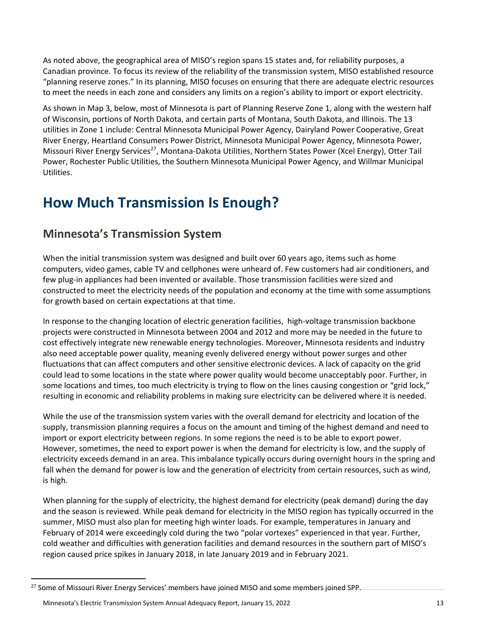As noted above, the geographical area of MISO's region spans 15 states and, for reliability purposes, a Canadian province. To focus its review of the reliability of the transmission system, MISO established resource "planning reserve zones." In its planning, MISO focuses on ensuring that there are adequate electric resources to meet the needs in each zone and considers any limits on a region's ability to import or export electricity.

As shown in Map 3, below, most of Minnesota is part of Planning Reserve Zone 1, along with the western half of Wisconsin, portions of North Dakota, and certain parts of Montana, South Dakota, and Illinois. The 13 utilities in Zone 1 include: Central Minnesota Municipal Power Agency, Dairyland Power Cooperative, Great River Energy, Heartland Consumers Power District, Minnesota Municipal Power Agency, Minnesota Power, Missouri River Energy Services<sup>27</sup>, Montana-Dakota Utilities, Northern States Power (Xcel Energy), Otter Tail Power, Rochester Public Utilities, the Southern Minnesota Municipal Power Agency, and Willmar Municipal Utilities.

## <span id="page-12-0"></span>**How Much Transmission Is Enough?**

#### **Minnesota's Transmission System**

When the initial transmission system was designed and built over 60 years ago, items such as home computers, video games, cable TV and cellphones were unheard of. Few customers had air conditioners, and few plug-in appliances had been invented or available. Those transmission facilities were sized and constructed to meet the electricity needs of the population and economy at the time with some assumptions for growth based on certain expectations at that time.

In response to the changing location of electric generation facilities, high-voltage transmission backbone projects were constructed in Minnesota between 2004 and 2012 and more may be needed in the future to cost effectively integrate new renewable energy technologies. Moreover, Minnesota residents and industry also need acceptable power quality, meaning evenly delivered energy without power surges and other fluctuations that can affect computers and other sensitive electronic devices. A lack of capacity on the grid could lead to some locations in the state where power quality would become unacceptably poor. Further, in some locations and times, too much electricity is trying to flow on the lines causing congestion or "grid lock," resulting in economic and reliability problems in making sure electricity can be delivered where it is needed.

While the use of the transmission system varies with the overall demand for electricity and location of the supply, transmission planning requires a focus on the amount and timing of the highest demand and need to import or export electricity between regions. In some regions the need is to be able to export power. However, sometimes, the need to export power is when the demand for electricity is low, and the supply of electricity exceeds demand in an area. This imbalance typically occurs during overnight hours in the spring and fall when the demand for power is low and the generation of electricity from certain resources, such as wind, is high.

When planning for the supply of electricity, the highest demand for electricity (peak demand) during the day and the season is reviewed. While peak demand for electricity in the MISO region has typically occurred in the summer, MISO must also plan for meeting high winter loads. For example, temperatures in January and February of 2014 were exceedingly cold during the two "polar vortexes" experienced in that year. Further, cold weather and difficulties with generation facilities and demand resources in the southern part of MISO's region caused price spikes in January 2018, in late January 2019 and in February 2021.

<sup>&</sup>lt;sup>27</sup> Some of Missouri River Energy Services' members have joined MISO and some members joined SPP.

Minnesota's Electric Transmission System Annual Adequacy Report, January 15, 2022 13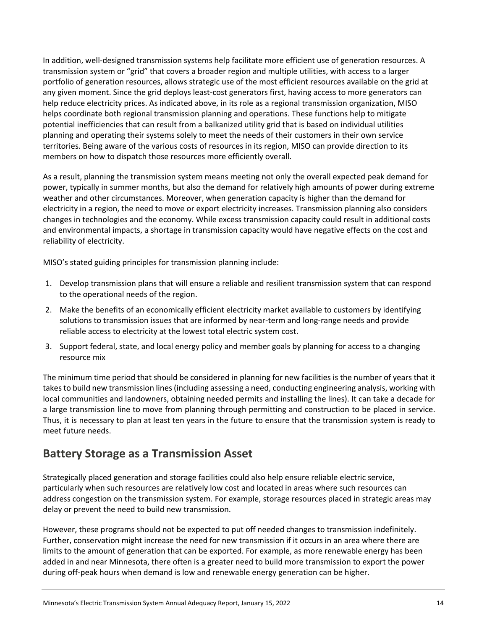In addition, well-designed transmission systems help facilitate more efficient use of generation resources. A transmission system or "grid" that covers a broader region and multiple utilities, with access to a larger portfolio of generation resources, allows strategic use of the most efficient resources available on the grid at any given moment. Since the grid deploys least-cost generators first, having access to more generators can help reduce electricity prices. As indicated above, in its role as a regional transmission organization, MISO helps coordinate both regional transmission planning and operations. These functions help to mitigate potential inefficiencies that can result from a balkanized utility grid that is based on individual utilities planning and operating their systems solely to meet the needs of their customers in their own service territories. Being aware of the various costs of resources in its region, MISO can provide direction to its members on how to dispatch those resources more efficiently overall.

As a result, planning the transmission system means meeting not only the overall expected peak demand for power, typically in summer months, but also the demand for relatively high amounts of power during extreme weather and other circumstances. Moreover, when generation capacity is higher than the demand for electricity in a region, the need to move or export electricity increases. Transmission planning also considers changes in technologies and the economy. While excess transmission capacity could result in additional costs and environmental impacts, a shortage in transmission capacity would have negative effects on the cost and reliability of electricity.

MISO's stated guiding principles for transmission planning include:

- 1. Develop transmission plans that will ensure a reliable and resilient transmission system that can respond to the operational needs of the region.
- 2. Make the benefits of an economically efficient electricity market available to customers by identifying solutions to transmission issues that are informed by near-term and long-range needs and provide reliable access to electricity at the lowest total electric system cost.
- 3. Support federal, state, and local energy policy and member goals by planning for access to a changing resource mix

The minimum time period that should be considered in planning for new facilities is the number of years that it takes to build new transmission lines (including assessing a need, conducting engineering analysis, working with local communities and landowners, obtaining needed permits and installing the lines). It can take a decade for a large transmission line to move from planning through permitting and construction to be placed in service. Thus, it is necessary to plan at least ten years in the future to ensure that the transmission system is ready to meet future needs.

#### **Battery Storage as a Transmission Asset**

Strategically placed generation and storage facilities could also help ensure reliable electric service, particularly when such resources are relatively low cost and located in areas where such resources can address congestion on the transmission system. For example, storage resources placed in strategic areas may delay or prevent the need to build new transmission.

However, these programs should not be expected to put off needed changes to transmission indefinitely. Further, conservation might increase the need for new transmission if it occurs in an area where there are limits to the amount of generation that can be exported. For example, as more renewable energy has been added in and near Minnesota, there often is a greater need to build more transmission to export the power during off-peak hours when demand is low and renewable energy generation can be higher.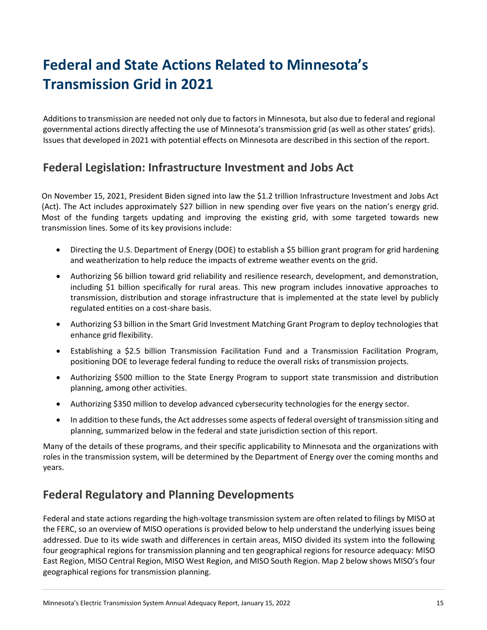## <span id="page-14-0"></span>**Federal and State Actions Related to Minnesota's Transmission Grid in 2021**

Additions to transmission are needed not only due to factors in Minnesota, but also due to federal and regional governmental actions directly affecting the use of Minnesota's transmission grid (as well as other states' grids). Issues that developed in 2021 with potential effects on Minnesota are described in this section of the report.

#### **Federal Legislation: Infrastructure Investment and Jobs Act**

On November 15, 2021, President Biden signed into law the \$1.2 trillion Infrastructure Investment and Jobs Act (Act). The Act includes approximately \$27 billion in new spending over five years on the nation's energy grid. Most of the funding targets updating and improving the existing grid, with some targeted towards new transmission lines. Some of its key provisions include:

- Directing the U.S. Department of Energy (DOE) to establish a \$5 billion grant program for grid hardening and weatherization to help reduce the impacts of extreme weather events on the grid.
- Authorizing \$6 billion toward grid reliability and resilience research, development, and demonstration, including \$1 billion specifically for rural areas. This new program includes innovative approaches to transmission, distribution and storage infrastructure that is implemented at the state level by publicly regulated entities on a cost-share basis.
- Authorizing \$3 billion in the Smart Grid Investment Matching Grant Program to deploy technologies that enhance grid flexibility.
- Establishing a \$2.5 billion Transmission Facilitation Fund and a Transmission Facilitation Program, positioning DOE to leverage federal funding to reduce the overall risks of transmission projects.
- Authorizing \$500 million to the State Energy Program to support state transmission and distribution planning, among other activities.
- Authorizing \$350 million to develop advanced cybersecurity technologies for the energy sector.
- In addition to these funds, the Act addresses some aspects of federal oversight of transmission siting and planning, summarized below in the federal and state jurisdiction section of this report.

Many of the details of these programs, and their specific applicability to Minnesota and the organizations with roles in the transmission system, will be determined by the Department of Energy over the coming months and years.

#### **Federal Regulatory and Planning Developments**

Federal and state actions regarding the high-voltage transmission system are often related to filings by MISO at the FERC, so an overview of MISO operations is provided below to help understand the underlying issues being addressed. Due to its wide swath and differences in certain areas, MISO divided its system into the following four geographical regions for transmission planning and ten geographical regions for resource adequacy: MISO East Region, MISO Central Region, MISO West Region, and MISO South Region. Map 2 below shows MISO's four geographical regions for transmission planning.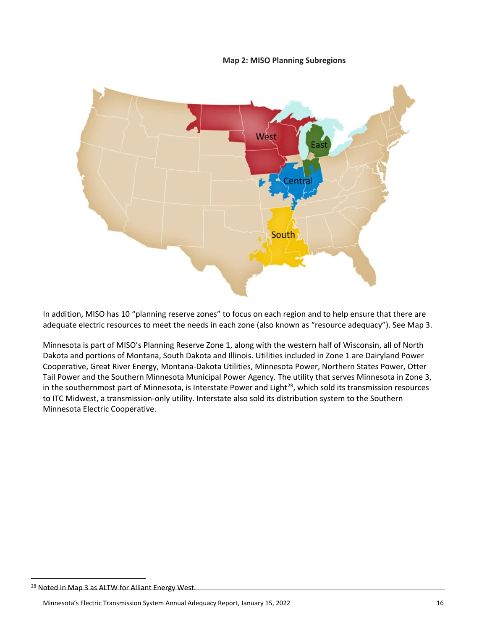**Map 2: MISO Planning Subregions**



In addition, MISO has 10 "planning reserve zones" to focus on each region and to help ensure that there are adequate electric resources to meet the needs in each zone (also known as "resource adequacy"). See Map 3.

Minnesota is part of MISO's Planning Reserve Zone 1, along with the western half of Wisconsin, all of North Dakota and portions of Montana, South Dakota and Illinois. Utilities included in Zone 1 are Dairyland Power Cooperative, Great River Energy, Montana-Dakota Utilities, Minnesota Power, Northern States Power, Otter Tail Power and the Southern Minnesota Municipal Power Agency. The utility that serves Minnesota in Zone 3, in the southernmost part of Minnesota, is Interstate Power and Light<sup>28</sup>, which sold its transmission resources to ITC Midwest, a transmission-only utility. Interstate also sold its distribution system to the Southern Minnesota Electric Cooperative.

<sup>&</sup>lt;sup>28</sup> Noted in Map 3 as ALTW for Alliant Energy West.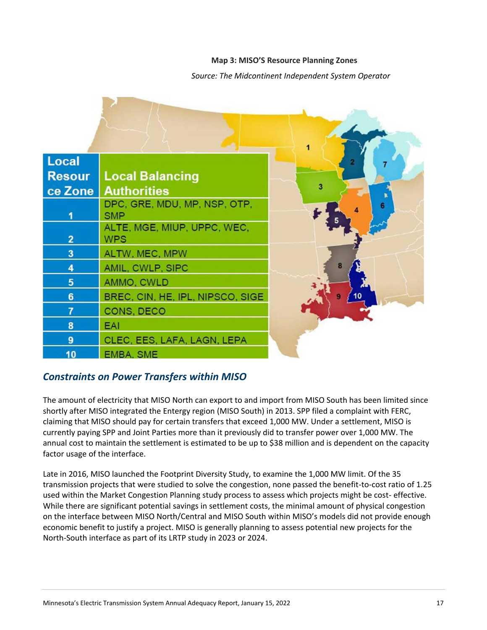#### **Map 3: MISO'S Resource Planning Zones**

#### *Source: The Midcontinent Independent System Operator*



#### *Constraints on Power Transfers within MISO*

The amount of electricity that MISO North can export to and import from MISO South has been limited since shortly after MISO integrated the Entergy region (MISO South) in 2013. SPP filed a complaint with FERC, claiming that MISO should pay for certain transfers that exceed 1,000 MW. Under a settlement, MISO is currently paying SPP and Joint Parties more than it previously did to transfer power over 1,000 MW. The annual cost to maintain the settlement is estimated to be up to \$38 million and is dependent on the capacity factor usage of the interface.

Late in 2016, MISO launched the Footprint Diversity Study, to examine the 1,000 MW limit. Of the 35 transmission projects that were studied to solve the congestion, none passed the benefit-to-cost ratio of 1.25 used within the Market Congestion Planning study process to assess which projects might be cost- effective. While there are significant potential savings in settlement costs, the minimal amount of physical congestion on the interface between MISO North/Central and MISO South within MISO's models did not provide enough economic benefit to justify a project. MISO is generally planning to assess potential new projects for the North-South interface as part of its LRTP study in 2023 or 2024.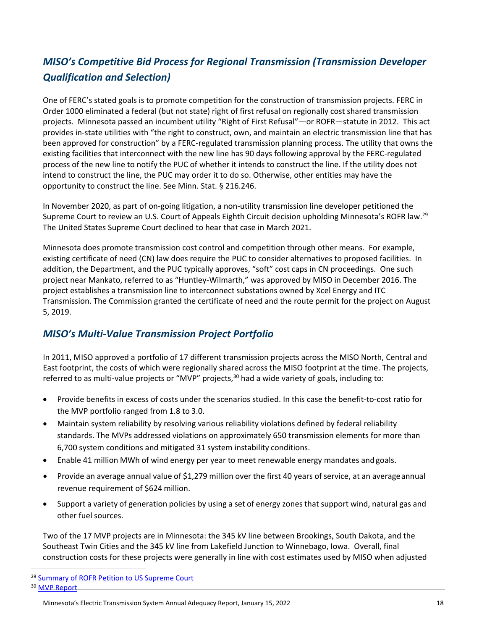#### *MISO's Competitive Bid Process for Regional Transmission (Transmission Developer Qualification and Selection)*

One of FERC's stated goals is to promote competition for the construction of transmission projects. FERC in Order 1000 eliminated a federal (but not state) right of first refusal on regionally cost shared transmission projects. Minnesota passed an incumbent utility "Right of First Refusal"—or ROFR—statute in 2012. This act provides in-state utilities with "the right to construct, own, and maintain an electric transmission line that has been approved for construction" by a FERC-regulated transmission planning process. The utility that owns the existing facilities that interconnect with the new line has 90 days following approval by the FERC-regulated process of the new line to notify the PUC of whether it intends to construct the line. If the utility does not intend to construct the line, the PUC may order it to do so. Otherwise, other entities may have the opportunity to construct the line. See Minn. Stat. § 216.246.

In November 2020, as part of on-going litigation, a non-utility transmission line developer petitioned the Supreme Court to review an U.S. Court of Appeals Eighth Circuit decision upholding Minnesota's ROFR law.<sup>29</sup> The United States Supreme Court declined to hear that case in March 2021.

Minnesota does promote transmission cost control and competition through other means. For example, existing certificate of need (CN) law does require the PUC to consider alternatives to proposed facilities. In addition, the Department, and the PUC typically approves, "soft" cost caps in CN proceedings. One such project near Mankato, referred to as "Huntley-Wilmarth," was approved by MISO in December 2016. The project establishes a transmission line to interconnect substations owned by Xcel Energy and ITC Transmission. The Commission granted the certificate of need and the route permit for the project on August 5, 2019.

#### *MISO's Multi‐Value Transmission Project Portfolio*

In 2011, MISO approved a portfolio of 17 different transmission projects across the MISO North, Central and East footprint, the costs of which were regionally shared across the MISO footprint at the time. The projects, referred to as multi-value projects or "MVP" projects, $30$  had a wide variety of goals, including to:

- Provide benefits in excess of costs under the scenarios studied. In this case the benefit-to-cost ratio for the MVP portfolio ranged from 1.8 to 3.0.
- Maintain system reliability by resolving various reliability violations defined by federal reliability standards. The MVPs addressed violations on approximately 650 transmission elements for more than 6,700 system conditions and mitigated 31 system instability conditions.
- Enable 41 million MWh of wind energy per year to meet renewable energy mandates and goals.
- Provide an average annual value of \$1,279 million over the first 40 years of service, at an averageannual revenue requirement of \$624 million.
- Support a variety of generation policies by using a set of energy zones that support wind, natural gas and other fuel sources.

Two of the 17 MVP projects are in Minnesota: the 345 kV line between Brookings, South Dakota, and the Southeast Twin Cities and the 345 kV line from Lakefield Junction to Winnebago, Iowa. Overall, final construction costs for these projects were generally in line with cost estimates used by MISO when adjusted

<sup>&</sup>lt;sup>29</sup> [Summary of ROFR Petition to US Supreme Court](https://statepowerproject.org/update-november-12-2020-transmission-developer/)

<sup>&</sup>lt;sup>30</sup> [MVP Report](https://www.misoenergy.org/planning/planning/multi-value-projects-mvps/#t=10&p=0&s=&sd=)

Minnesota's Electric Transmission System Annual Adequacy Report, January 15, 2022 18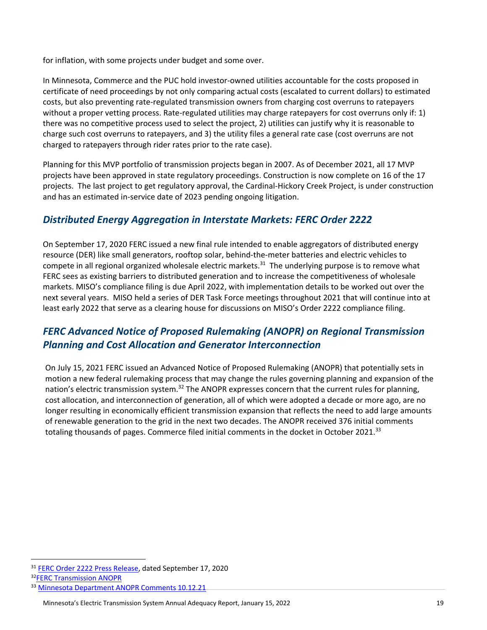for inflation, with some projects under budget and some over.

In Minnesota, Commerce and the PUC hold investor-owned utilities accountable for the costs proposed in certificate of need proceedings by not only comparing actual costs (escalated to current dollars) to estimated costs, but also preventing rate-regulated transmission owners from charging cost overruns to ratepayers without a proper vetting process. Rate-regulated utilities may charge ratepayers for cost overruns only if: 1) there was no competitive process used to select the project, 2) utilities can justify why it is reasonable to charge such cost overruns to ratepayers, and 3) the utility files a general rate case (cost overruns are not charged to ratepayers through rider rates prior to the rate case).

Planning for this MVP portfolio of transmission projects began in 2007. As of December 2021, all 17 MVP projects have been approved in state regulatory proceedings. Construction is now complete on 16 of the 17 projects. The last project to get regulatory approval, the Cardinal-Hickory Creek Project, is under construction and has an estimated in-service date of 2023 pending ongoing litigation.

#### *Distributed Energy Aggregation in Interstate Markets: FERC Order 2222*

On September 17, 2020 FERC issued a new final rule intended to enable aggregators of distributed energy resource (DER) like small generators, rooftop solar, behind-the-meter batteries and electric vehicles to compete in all regional organized wholesale electric markets.<sup>31</sup> The underlying purpose is to remove what FERC sees as existing barriers to distributed generation and to increase the competitiveness of wholesale markets. MISO's compliance filing is due April 2022, with implementation details to be worked out over the next several years. MISO held a series of DER Task Force meetings throughout 2021 that will continue into at least early 2022 that serve as a clearing house for discussions on MISO's Order 2222 compliance filing.

#### *FERC Advanced Notice of Proposed Rulemaking (ANOPR) on Regional Transmission Planning and Cost Allocation and Generator Interconnection*

On July 15, 2021 FERC issued an [Advanced Notice of Proposed Rulemaking](https://www.ferc.gov/media/e-1-rm21-17-000) (ANOPR) that potentially sets in motion a new federal rulemaking process that may change the rules governing planning and expansion of the nation's electric transmission system.<sup>32</sup> The ANOPR expresses concern that the current rules for planning, cost allocation, and interconnection of generation, all of which were adopted a decade or more ago, are no longer resulting in economically efficient transmission expansion that reflects the need to add large amounts of renewable generation to the grid in the next two decades. The ANOPR received 376 initial comments totaling thousands of pages. Commerce filed initial comments in the docket in October 2021.<sup>33</sup>

32[FERC Transmission ANOPR](https://www.ferc.gov/media/e-1-rm21-17-000)

<sup>31</sup> [FERC Order 2222 Press Release,](https://www.ferc.gov/news-events/news/ferc-opens-wholesale-markets-distributed-resources-landmark-action-breaks-down) dated September 17, 2020

<sup>33</sup> [Minnesota Department ANOPR Comments 10.12.21](https://elibrary.ferc.gov/eLibrary/filelist?accession_number=20211012-5564)

Minnesota's Electric Transmission System Annual Adequacy Report, January 15, 2022 19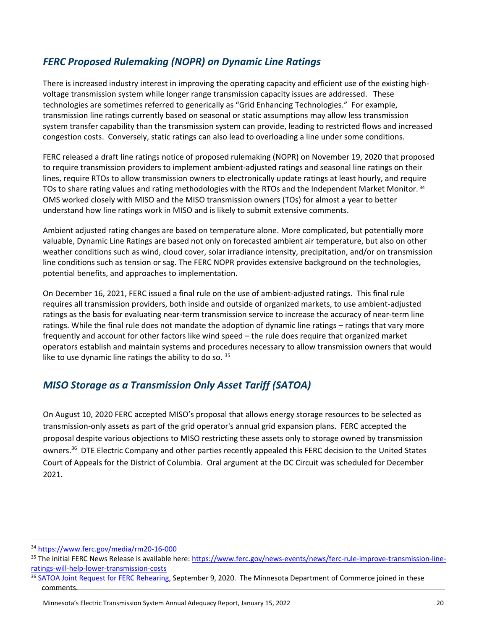#### *FERC Proposed Rulemaking (NOPR) on Dynamic Line Ratings*

There is increased industry interest in improving the operating capacity and efficient use of the existing highvoltage transmission system while longer range transmission capacity issues are addressed. These technologies are sometimes referred to generically as "Grid Enhancing Technologies." For example, transmission line ratings currently based on seasonal or static assumptions may allow less transmission system transfer capability than the transmission system can provide, leading to restricted flows and increased congestion costs. Conversely, static ratings can also lead to overloading a line under some conditions.

FERC released a draft line ratings notice of proposed rulemaking (NOPR) on November 19, 2020 that proposed to require transmission providers to implement ambient-adjusted ratings and seasonal line ratings on their lines, require RTOs to allow transmission owners to electronically update ratings at least hourly, and require TOs to share rating values and rating methodologies with the RTOs and the Independent Market Monitor. 34 OMS worked closely with MISO and the MISO transmission owners (TOs) for almost a year to better understand how line ratings work in MISO and is likely to submit extensive comments.

Ambient adjusted rating changes are based on temperature alone. More complicated, but potentially more valuable, Dynamic Line Ratings are based not only on forecasted ambient air temperature, but also on other weather conditions such as wind, cloud cover, solar irradiance intensity, precipitation, and/or on transmission line conditions such as tension or sag. The FERC NOPR provides extensive background on the technologies, potential benefits, and approaches to implementation.

On December 16, 2021, FERC issued a final rule on the use of ambient-adjusted ratings. This final rule requires all transmission providers, both inside and outside of organized markets, to use ambient-adjusted ratings as the basis for evaluating near-term transmission service to increase the accuracy of near-term line ratings. While the final rule does not mandate the adoption of dynamic line ratings – ratings that vary more frequently and account for other factors like wind speed – the rule does require that organized market operators establish and maintain systems and procedures necessary to allow transmission owners that would like to use dynamic line ratings the ability to do so.  $35$ 

#### *MISO Storage as a Transmission Only Asset Tariff (SATOA)*

On August 10, 2020 FERC accepted MISO's proposal that allows energy storage resources to be selected as transmission-only assets as part of the grid operator's annual grid expansion plans. FERC accepted the proposal despite various objections to MISO restricting these assets only to storage owned by transmission owners.<sup>36</sup> DTE Electric Company and other parties recently appealed this FERC decision to the United States Court of Appeals for the District of Columbia. Oral argument at the DC Circuit was scheduled for December 2021.

<sup>34</sup> <https://www.ferc.gov/media/rm20-16-000>

<sup>&</sup>lt;sup>35</sup> The initial FERC News Release is available here[: https://www.ferc.gov/news-events/news/ferc-rule-improve-transmission-line](https://www.ferc.gov/news-events/news/ferc-rule-improve-transmission-line-ratings-will-help-lower-transmission-costs)[ratings-will-help-lower-transmission-costs](https://www.ferc.gov/news-events/news/ferc-rule-improve-transmission-line-ratings-will-help-lower-transmission-costs)

<sup>&</sup>lt;sup>36</sup> [SATOA Joint Request for FERC Rehearing,](https://www.edockets.state.mn.us/EFiling/edockets/searchDocuments.do?method=showPoup&documentId=%7bD0117F74-0000-C81D-9702-654396BBF425%7d&documentTitle=20209-166539-01) September 9, 2020. The Minnesota Department of Commerce joined in these comments.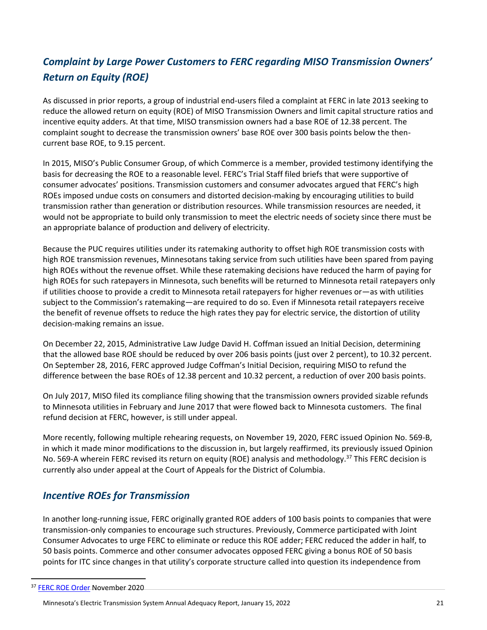#### *Complaint by Large Power Customers to FERC regarding MISO Transmission Owners' Return on Equity (ROE)*

As discussed in prior reports, a group of industrial end-users filed a complaint at FERC in late 2013 seeking to reduce the allowed return on equity (ROE) of MISO Transmission Owners and limit capital structure ratios and incentive equity adders. At that time, MISO transmission owners had a base ROE of 12.38 percent. The complaint sought to decrease the transmission owners' base ROE over 300 basis points below the thencurrent base ROE, to 9.15 percent.

In 2015, MISO's Public Consumer Group, of which Commerce is a member, provided testimony identifying the basis for decreasing the ROE to a reasonable level. FERC's Trial Staff filed briefs that were supportive of consumer advocates' positions. Transmission customers and consumer advocates argued that FERC's high ROEs imposed undue costs on consumers and distorted decision-making by encouraging utilities to build transmission rather than generation or distribution resources. While transmission resources are needed, it would not be appropriate to build only transmission to meet the electric needs of society since there must be an appropriate balance of production and delivery of electricity.

Because the PUC requires utilities under its ratemaking authority to offset high ROE transmission costs with high ROE transmission revenues, Minnesotans taking service from such utilities have been spared from paying high ROEs without the revenue offset. While these ratemaking decisions have reduced the harm of paying for high ROEs for such ratepayers in Minnesota, such benefits will be returned to Minnesota retail ratepayers only if utilities choose to provide a credit to Minnesota retail ratepayers for higher revenues or—as with utilities subject to the Commission's ratemaking—are required to do so. Even if Minnesota retail ratepayers receive the benefit of revenue offsets to reduce the high rates they pay for electric service, the distortion of utility decision-making remains an issue.

On December 22, 2015, Administrative Law Judge David H. Coffman issued an Initial Decision, determining that the allowed base ROE should be reduced by over 206 basis points (just over 2 percent), to 10.32 percent. On September 28, 2016, FERC approved Judge Coffman's Initial Decision, requiring MISO to refund the difference between the base ROEs of 12.38 percent and 10.32 percent, a reduction of over 200 basis points.

On July 2017, MISO filed its compliance filing showing that the transmission owners provided sizable refunds to Minnesota utilities in February and June 2017 that were flowed back to Minnesota customers. The final refund decision at FERC, however, is still under appeal.

More recently, following multiple rehearing requests, on November 19, 2020, FERC issued Opinion No. 569-B, in which it made minor modifications to the discussion in, but largely reaffirmed, its previously issued Opinion No. 569-A wherein FERC revised its return on equity (ROE) analysis and methodology.<sup>37</sup> This FERC decision is currently also under appeal at the Court of Appeals for the District of Columbia.

#### *Incentive ROEs for Transmission*

In another long-running issue, FERC originally granted ROE adders of 100 basis points to companies that were transmission-only companies to encourage such structures. Previously, Commerce participated with Joint Consumer Advocates to urge FERC to eliminate or reduce this ROE adder; FERC reduced the adder in half, to 50 basis points. Commerce and other consumer advocates opposed FERC giving a bonus ROE of 50 basis points for ITC since changes in that utility's corporate structure called into question its independence from

<sup>&</sup>lt;sup>37</sup> [FERC ROE Order](https://www.ferc.gov/sites/default/files/2020-11/11-2020-E-3.pdf) November 2020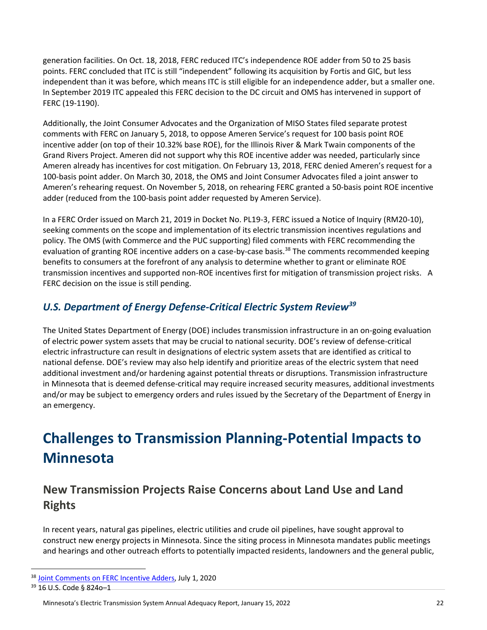generation facilities. On Oct. 18, 2018, FERC reduced ITC's independence ROE adder from 50 to 25 basis points. FERC concluded that ITC is still "independent" following its acquisition by Fortis and GIC, but less independent than it was before, which means ITC is still eligible for an independence adder, but a smaller one. In September 2019 ITC appealed this FERC decision to the DC circuit and OMS has intervened in support of FERC (19-1190).

Additionally, the Joint Consumer Advocates and the Organization of MISO States filed separate protest comments with FERC on January 5, 2018, to oppose Ameren Service's request for 100 basis point ROE incentive adder (on top of their 10.32% base ROE), for the Illinois River & Mark Twain components of the Grand Rivers Project. Ameren did not support why this ROE incentive adder was needed, particularly since Ameren already has incentives for cost mitigation. On February 13, 2018, FERC denied Ameren's request for a 100-basis point adder. On March 30, 2018, the OMS and Joint Consumer Advocates filed a joint answer to Ameren's rehearing request. On November 5, 2018, on rehearing FERC granted a 50-basis point ROE incentive adder (reduced from the 100-basis point adder requested by Ameren Service).

In a FERC Order issued on March 21, 2019 in Docket No. PL19-3, FERC issued a Notice of Inquiry (RM20-10), seeking comments on the scope and implementation of its electric transmission incentives regulations and policy. The OMS (with Commerce and the PUC supporting) filed comments with FERC recommending the evaluation of granting ROE incentive adders on a case-by-case basis.<sup>38</sup> The comments recommended keeping benefits to consumers at the forefront of any analysis to determine whether to grant or eliminate ROE transmission incentives and supported non-ROE incentives first for mitigation of transmission project risks. A FERC decision on the issue is still pending.

#### *U.S. Department of Energy Defense‐Critical Electric System Review<sup>39</sup>*

The United States Department of Energy (DOE) includes transmission infrastructure in an on-going evaluation of electric power system assets that may be crucial to national security. DOE's review of defense-critical electric infrastructure can result in designations of electric system assets that are identified as critical to national defense. DOE's review may also help identify and prioritize areas of the electric system that need additional investment and/or hardening against potential threats or disruptions. Transmission infrastructure in Minnesota that is deemed defense-critical may require increased security measures, additional investments and/or may be subject to emergency orders and rules issued by the Secretary of the Department of Energy in an emergency.

## <span id="page-21-0"></span>**Challenges to Transmission Planning‐Potential Impacts to Minnesota**

#### **New Transmission Projects Raise Concerns about Land Use and Land Rights**

In recent years, natural gas pipelines, electric utilities and crude oil pipelines, have sought approval to construct new energy projects in Minnesota. Since the siting process in Minnesota mandates public meetings and hearings and other outreach efforts to potentially impacted residents, landowners and the general public,

<sup>38</sup> [Joint Comments on FERC Incentive Adders,](https://www.edockets.state.mn.us/EFiling/edockets/searchDocuments.do?method=showPoup&documentId=%7bD0416D73-0000-CC16-B9FE-9028A3005409%7d&documentTitle=20207-165065-01) July 1, 2020

<sup>39</sup> 16 U.S. Code § 824o–1

Minnesota's Electric Transmission System Annual Adequacy Report, January 15, 2022 22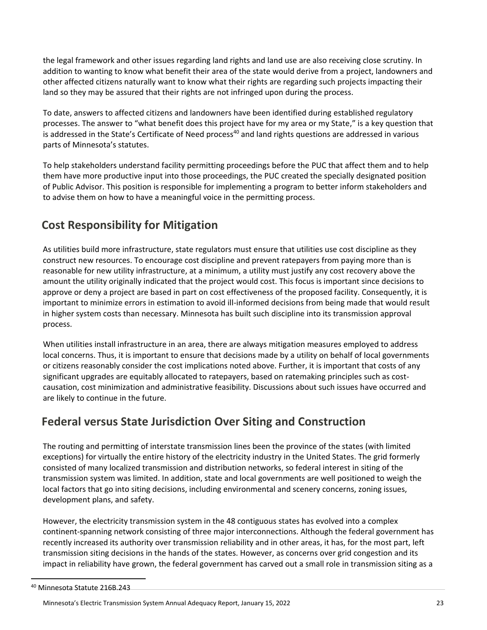the legal framework and other issues regarding land rights and land use are also receiving close scrutiny. In addition to wanting to know what benefit their area of the state would derive from a project, landowners and other affected citizens naturally want to know what their rights are regarding such projects impacting their land so they may be assured that their rights are not infringed upon during the process.

To date, answers to affected citizens and landowners have been identified during established regulatory processes. The answer to "what benefit does this project have for my area or my State," is a key question that is addressed in the State's Certificate of Need process<sup>40</sup> and land rights questions are addressed in various parts of Minnesota's statutes.

To help stakeholders understand facility permitting proceedings before the PUC that affect them and to help them have more productive input into those proceedings, the PUC created the specially designated position of Public Advisor. This position is responsible for implementing a program to better inform stakeholders and to advise them on how to have a meaningful voice in the permitting process.

#### **Cost Responsibility for Mitigation**

As utilities build more infrastructure, state regulators must ensure that utilities use cost discipline as they construct new resources. To encourage cost discipline and prevent ratepayers from paying more than is reasonable for new utility infrastructure, at a minimum, a utility must justify any cost recovery above the amount the utility originally indicated that the project would cost. This focus is important since decisions to approve or deny a project are based in part on cost effectiveness of the proposed facility. Consequently, it is important to minimize errors in estimation to avoid ill-informed decisions from being made that would result in higher system costs than necessary. Minnesota has built such discipline into its transmission approval process.

When utilities install infrastructure in an area, there are always mitigation measures employed to address local concerns. Thus, it is important to ensure that decisions made by a utility on behalf of local governments or citizens reasonably consider the cost implications noted above. Further, it is important that costs of any significant upgrades are equitably allocated to ratepayers, based on ratemaking principles such as costcausation, cost minimization and administrative feasibility. Discussions about such issues have occurred and are likely to continue in the future.

#### **Federal versus State Jurisdiction Over Siting and Construction**

The routing and permitting of interstate transmission lines been the province of the states (with limited exceptions) for virtually the entire history of the electricity industry in the United States. The grid formerly consisted of many localized transmission and distribution networks, so federal interest in siting of the transmission system was limited. In addition, state and local governments are well positioned to weigh the local factors that go into siting decisions, including environmental and scenery concerns, zoning issues, development plans, and safety.

However, the electricity transmission system in the 48 contiguous states has evolved into a complex continent-spanning network consisting of three major interconnections. Although the federal government has recently increased its authority over transmission reliability and in other areas, it has, for the most part, left transmission siting decisions in the hands of the states. However, as concerns over grid congestion and its impact in reliability have grown, the federal government has carved out a small role in transmission siting as a

<sup>40</sup> Minnesota Statute 216B.243

Minnesota's Electric Transmission System Annual Adequacy Report, January 15, 2022 23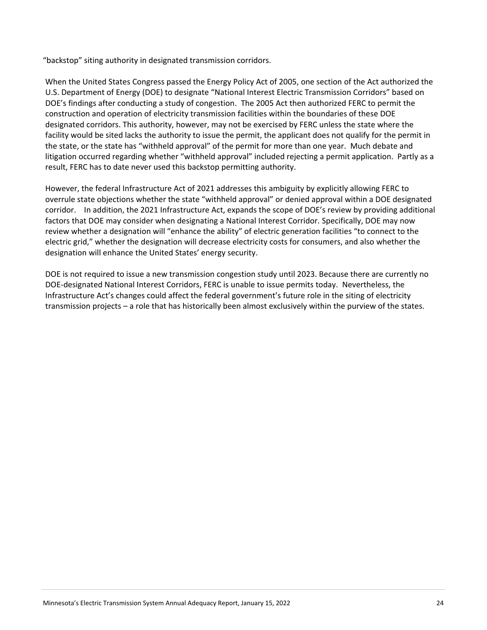"backstop" siting authority in designated transmission corridors.

When the United States Congress passed the Energy Policy Act of 2005, one section of the Act authorized the U.S. Department of Energy (DOE) to designate "National Interest Electric Transmission Corridors" based on DOE's findings after conducting a study of congestion. The 2005 Act then authorized FERC to permit the construction and operation of electricity transmission facilities within the boundaries of these DOE designated corridors. This authority, however, may not be exercised by FERC unless the state where the facility would be sited lacks the authority to issue the permit, the applicant does not qualify for the permit in the state, or the state has "withheld approval" of the permit for more than one year. Much debate and litigation occurred regarding whether "withheld approval" included rejecting a permit application. Partly as a result, FERC has to date never used this backstop permitting authority.

However, the federal Infrastructure Act of 2021 addresses this ambiguity by explicitly allowing FERC to overrule state objections whether the state "withheld approval" or denied approval within a DOE designated corridor. In addition, the 2021 Infrastructure Act, expands the scope of DOE's review by providing additional factors that DOE may consider when designating a National Interest Corridor. Specifically, DOE may now review whether a designation will "enhance the ability" of electric generation facilities "to connect to the electric grid," whether the designation will decrease electricity costs for consumers, and also whether the designation will enhance the United States' energy security.

DOE is not required to issue a new transmission congestion study until 2023. Because there are currently no DOE-designated National Interest Corridors, FERC is unable to issue permits today. Nevertheless, the Infrastructure Act's changes could affect the federal government's future role in the siting of electricity transmission projects – a role that has historically been almost exclusively within the purview of the states.